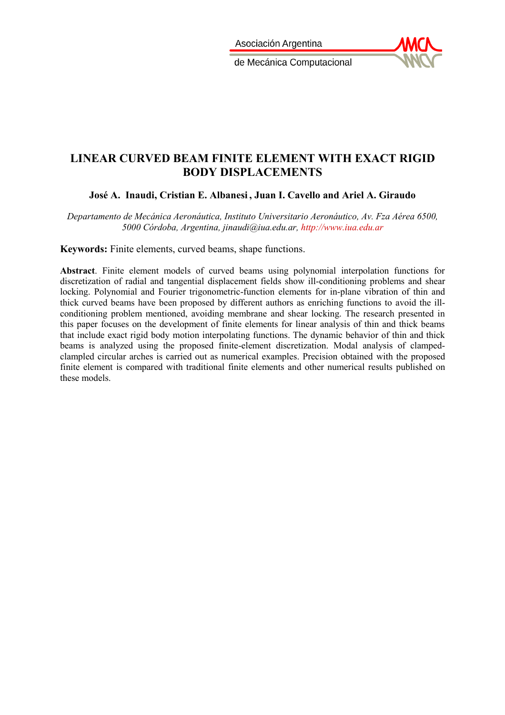Asociación Argentina



de Mecánica Computacional

Mecánica Computacional Vol XXXIV, págs. 565-581 (artículo completo) Sebastián Giusti, Martín Pucheta y Mario Storti (Eds.) Córdoba, 8-11 Noviembre 2016

# **LINEAR CURVED BEAM FINITE ELEMENT WITH EXACT RIGID BODY DISPLACEMENTS**

**José A. Inaudi, Cristian E. Albanesi , Juan I. Cavello and Ariel A. Giraudo**

*Departamento de Mecánica Aeronáutica, Instituto Universitario Aeronáutico, Av. Fza Aérea 6500, 5000 Córdoba, Argentina, jinaudi@iua.edu.ar, [http://www.iua.edu.ar](http://www.iua.edu.ar/)*

**Keywords:** Finite elements, curved beams, shape functions.

**Abstract**. Finite element models of curved beams using polynomial interpolation functions for discretization of radial and tangential displacement fields show ill-conditioning problems and shear locking. Polynomial and Fourier trigonometric-function elements for in-plane vibration of thin and thick curved beams have been proposed by different authors as enriching functions to avoid the illconditioning problem mentioned, avoiding membrane and shear locking. The research presented in this paper focuses on the development of finite elements for linear analysis of thin and thick beams that include exact rigid body motion interpolating functions. The dynamic behavior of thin and thick beams is analyzed using the proposed finite-element discretization. Modal analysis of clampedclampled circular arches is carried out as numerical examples. Precision obtained with the proposed finite element is compared with traditional finite elements and other numerical results published on these models.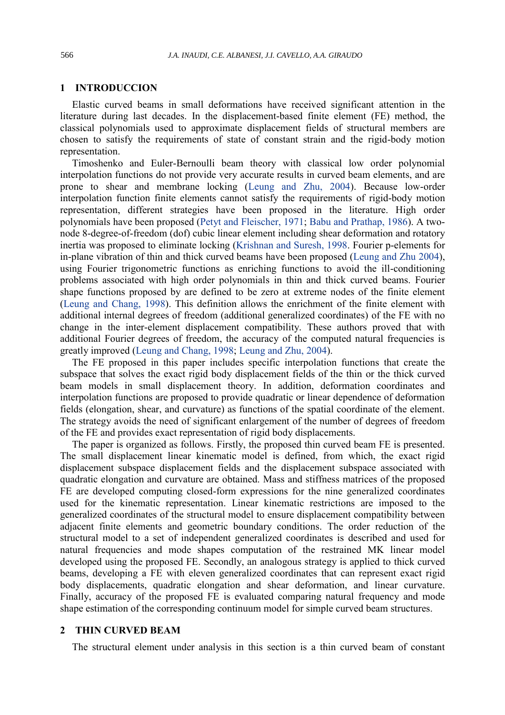# **1 INTRODUCCION**

Elastic curved beams in small deformations have received significant attention in the literature during last decades. In the displacement-based finite element (FE) method, the classical polynomials used to approximate displacement fields of structural members are chosen to satisfy the requirements of state of constant strain and the rigid-body motion representation.

Timoshenko and Euler-Bernoulli beam theory with classical low order polynomial interpolation functions do not provide very accurate results in curved beam elements, and are prone to shear and membrane locking (Leung and Zhu, 2004). Because low-order interpolation function finite elements cannot satisfy the requirements of rigid-body motion representation, different strategies have been proposed in the literature. High order polynomials have been proposed (Petyt and Fleischer, 1971; Babu and Prathap, 1986). A twonode 8-degree-of-freedom (dof) cubic linear element including shear deformation and rotatory inertia was proposed to eliminate locking (Krishnan and Suresh, 1998. Fourier p-elements for in-plane vibration of thin and thick curved beams have been proposed (Leung and Zhu 2004), using Fourier trigonometric functions as enriching functions to avoid the ill-conditioning problems associated with high order polynomials in thin and thick curved beams. Fourier shape functions proposed by are defined to be zero at extreme nodes of the finite element (Leung and Chang, 1998). This definition allows the enrichment of the finite element with additional internal degrees of freedom (additional generalized coordinates) of the FE with no change in the inter-element displacement compatibility. These authors proved that with additional Fourier degrees of freedom, the accuracy of the computed natural frequencies is greatly improved (Leung and Chang, 1998; Leung and Zhu, 2004).

The FE proposed in this paper includes specific interpolation functions that create the subspace that solves the exact rigid body displacement fields of the thin or the thick curved beam models in small displacement theory. In addition, deformation coordinates and interpolation functions are proposed to provide quadratic or linear dependence of deformation fields (elongation, shear, and curvature) as functions of the spatial coordinate of the element. The strategy avoids the need of significant enlargement of the number of degrees of freedom of the FE and provides exact representation of rigid body displacements.

The paper is organized as follows. Firstly, the proposed thin curved beam FE is presented. The small displacement linear kinematic model is defined, from which, the exact rigid displacement subspace displacement fields and the displacement subspace associated with quadratic elongation and curvature are obtained. Mass and stiffness matrices of the proposed FE are developed computing closed-form expressions for the nine generalized coordinates used for the kinematic representation. Linear kinematic restrictions are imposed to the generalized coordinates of the structural model to ensure displacement compatibility between adjacent finite elements and geometric boundary conditions. The order reduction of the structural model to a set of independent generalized coordinates is described and used for natural frequencies and mode shapes computation of the restrained MK linear model developed using the proposed FE. Secondly, an analogous strategy is applied to thick curved beams, developing a FE with eleven generalized coordinates that can represent exact rigid body displacements, quadratic elongation and shear deformation, and linear curvature. Finally, accuracy of the proposed FE is evaluated comparing natural frequency and mode shape estimation of the corresponding continuum model for simple curved beam structures.

### **2 THIN CURVED BEAM**

The structural element under analysis in this section is a thin curved beam of constant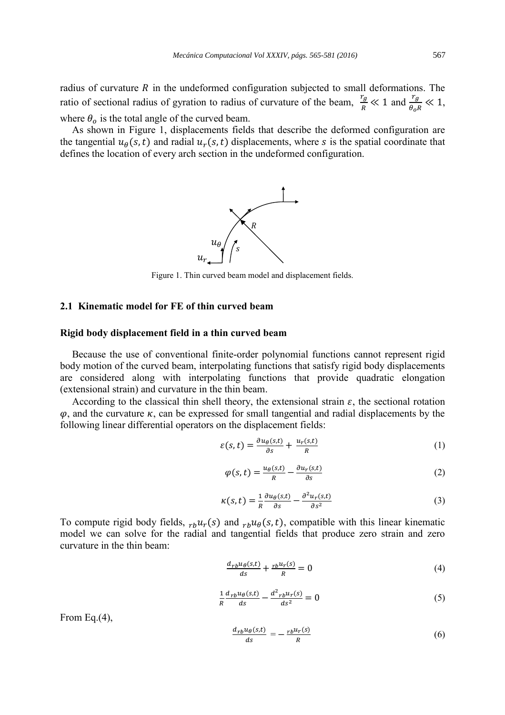radius of curvature  $R$  in the undeformed configuration subjected to small deformations. The ratio of sectional radius of gyration to radius of curvature of the beam,  $\frac{r_g}{r_g}$  $\frac{r_g}{R} \ll 1$  and  $\frac{r_g}{\theta_o R} \ll 1$ , where  $\theta_o$  is the total angle of the curved beam.

As shown in Figure 1, displacements fields that describe the deformed configuration are the tangential  $u_{\theta}(s,t)$  and radial  $u_{r}(s,t)$  displacements, where s is the spatial coordinate that defines the location of every arch section in the undeformed configuration.



Figure 1. Thin curved beam model and displacement fields.

# **2.1 Kinematic model for FE of thin curved beam**

### **Rigid body displacement field in a thin curved beam**

Because the use of conventional finite-order polynomial functions cannot represent rigid body motion of the curved beam, interpolating functions that satisfy rigid body displacements are considered along with interpolating functions that provide quadratic elongation (extensional strain) and curvature in the thin beam.

According to the classical thin shell theory, the extensional strain  $\varepsilon$ , the sectional rotation  $\varphi$ , and the curvature  $\kappa$ , can be expressed for small tangential and radial displacements by the following linear differential operators on the displacement fields:

$$
\varepsilon(s,t) = \frac{\partial u_{\theta}(s,t)}{\partial s} + \frac{u_r(s,t)}{R} \tag{1}
$$

$$
\varphi(s,t) = \frac{u_{\theta}(s,t)}{R} - \frac{\partial u_r(s,t)}{\partial s} \tag{2}
$$

$$
\kappa(s,t) = \frac{1}{R} \frac{\partial u_{\theta}(s,t)}{\partial s} - \frac{\partial^2 u_r(s,t)}{\partial s^2}
$$
 (3)

To compute rigid body fields,  $_{rb}u_r(s)$  and  $_{rb}u_\theta(s,t)$ , compatible with this linear kinematic model we can solve for the radial and tangential fields that produce zero strain and zero curvature in the thin beam:

$$
\frac{d_{rb}u_{\theta}(s,t)}{ds} + \frac{rbu_r(s)}{R} = 0\tag{4}
$$

$$
\frac{1}{R}\frac{d_{rb}u_{\theta}(s,t)}{ds} - \frac{d^2_{rb}u_r(s)}{ds^2} = 0
$$
\n<sup>(5)</sup>

From Eq.(4),

$$
\frac{d_{rb}u_{\theta}(s,t)}{ds} = -\frac{rbu_r(s)}{R}
$$
(6)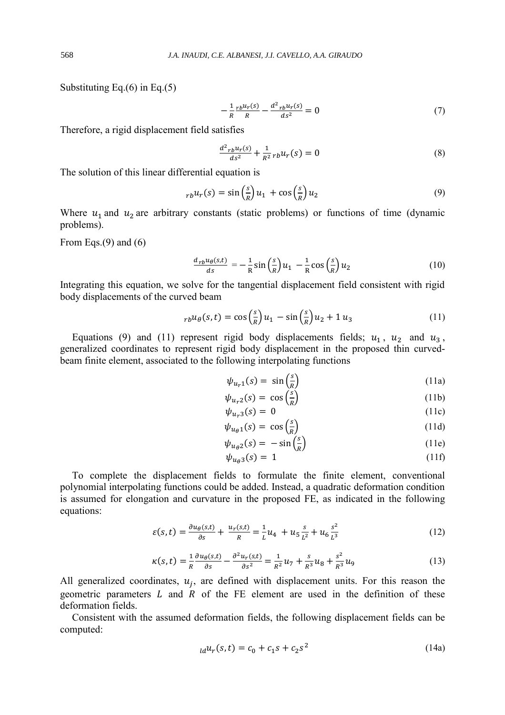Substituting Eq.(6) in Eq.(5)

$$
-\frac{1}{R}\frac{rb^{\mu}r(s)}{R} - \frac{d^2_{rb}\mu_r(s)}{ds^2} = 0\tag{7}
$$

Therefore, a rigid displacement field satisfies

$$
\frac{d^2_{rb}u_r(s)}{ds^2} + \frac{1}{R^2}rbu_r(s) = 0
$$
\n(8)

The solution of this linear differential equation is

$$
_{rb}u_r(s) = \sin\left(\frac{s}{R}\right)u_1 + \cos\left(\frac{s}{R}\right)u_2\tag{9}
$$

Where  $u_1$  and  $u_2$  are arbitrary constants (static problems) or functions of time (dynamic problems).

From Eqs. $(9)$  and  $(6)$ 

$$
\frac{d_{rb}u_{\theta}(s,t)}{ds} = -\frac{1}{R}\sin\left(\frac{s}{R}\right)u_1 - \frac{1}{R}\cos\left(\frac{s}{R}\right)u_2\tag{10}
$$

Integrating this equation, we solve for the tangential displacement field consistent with rigid body displacements of the curved beam

$$
_{rb}u_{\theta}(s,t) = \cos\left(\frac{s}{R}\right)u_1 - \sin\left(\frac{s}{R}\right)u_2 + 1 u_3 \tag{11}
$$

Equations (9) and (11) represent rigid body displacements fields;  $u_1$ ,  $u_2$  and  $u_3$ , generalized coordinates to represent rigid body displacement in the proposed thin curvedbeam finite element, associated to the following interpolating functions

$$
\psi_{u_r 1}(s) = \sin\left(\frac{s}{R}\right) \tag{11a}
$$

$$
\psi_{u_r 2}(s) = \cos\left(\frac{s}{R}\right) \tag{11b}
$$

$$
\psi_{u_r3}(s) = 0 \tag{11c}
$$
\n
$$
\psi_{u_\theta 1}(s) = \cos\left(\frac{s}{R}\right) \tag{11d}
$$

$$
\psi_{u_{\theta}1}(s) = -\sin\left(\frac{s}{R}\right) \tag{11e}
$$

$$
\psi_{u_{\theta}3}(s) = 1 \tag{11f}
$$

To complete the displacement fields to formulate the finite element, conventional polynomial interpolating functions could be added. Instead, a quadratic deformation condition is assumed for elongation and curvature in the proposed FE, as indicated in the following equations:

$$
\varepsilon(s,t) = \frac{\partial u_{\theta}(s,t)}{\partial s} + \frac{u_r(s,t)}{R} = \frac{1}{L}u_4 + u_5 \frac{s}{L^2} + u_6 \frac{s^2}{L^3}
$$
(12)

$$
\kappa(s,t) = \frac{1}{R} \frac{\partial u_{\theta}(s,t)}{\partial s} - \frac{\partial^2 u_r(s,t)}{\partial s^2} = \frac{1}{R^2} u_7 + \frac{s}{R^3} u_8 + \frac{s^2}{R^3} u_9 \tag{13}
$$

All generalized coordinates,  $u_j$ , are defined with displacement units. For this reason the geometric parameters  $L$  and  $R$  of the FE element are used in the definition of these deformation fields.

Consistent with the assumed deformation fields, the following displacement fields can be computed:

$$
_{ld}u_r(s,t) = c_0 + c_1s + c_2s^2
$$
 (14a)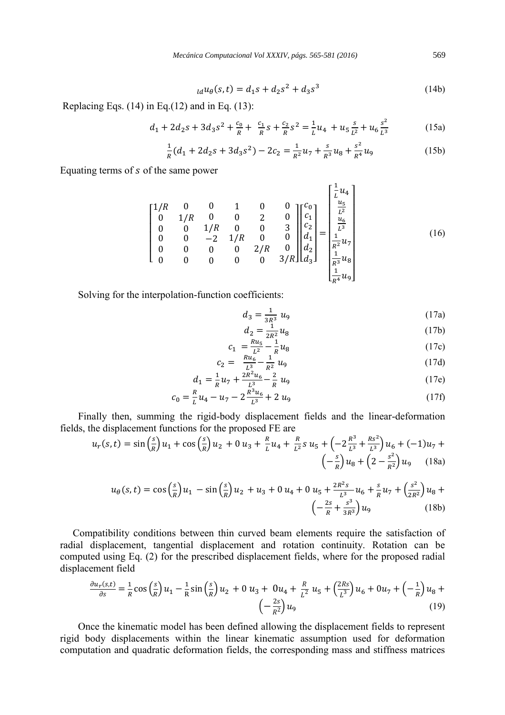$$
_{ld}u_{\theta}(s,t) = d_1s + d_2s^2 + d_3s^3 \tag{14b}
$$

Replacing Eqs.  $(14)$  in Eq. $(12)$  and in Eq.  $(13)$ :

$$
d_1 + 2d_2s + 3d_3s^2 + \frac{c_0}{R} + \frac{c_1}{R}s + \frac{c_2}{R}s^2 = \frac{1}{L}u_4 + u_5\frac{s}{L^2} + u_6\frac{s^2}{L^3}
$$
(15a)

$$
\frac{1}{R}(d_1 + 2d_2s + 3d_3s^2) - 2c_2 = \frac{1}{R^2}u_7 + \frac{s}{R^3}u_8 + \frac{s^2}{R^4}u_9 \tag{15b}
$$

Equating terms of s of the same power

$$
\begin{bmatrix}\n1/R & 0 & 0 & 1 & 0 & 0 \\
0 & 1/R & 0 & 0 & 2 & 0 \\
0 & 0 & 1/R & 0 & 0 & 3 \\
0 & 0 & -2 & 1/R & 0 & 0 \\
0 & 0 & 0 & 0 & 2/R & 0 \\
0 & 0 & 0 & 0 & 0 & 3/R\n\end{bmatrix}\n\begin{bmatrix}\nc_0 \\
c_1 \\
c_2 \\
d_1 \\
d_2 \\
d_3\n\end{bmatrix} = \n\begin{bmatrix}\n\frac{1}{L}u_4 \\
\frac{u_5}{L^2} \\
\frac{u_6}{L^3} \\
\frac{1}{R^2}u_7 \\
\frac{1}{R^3}u_8 \\
\frac{1}{R^4}u_9\n\end{bmatrix}
$$
\n(16)

Solving for the interpolation-function coefficients:

$$
d_3 = \frac{1}{3R^3} u_9 \tag{17a}
$$

$$
d_2 = \frac{1}{2R^2} u_8 \tag{17b}
$$

$$
c_1 = \frac{Ru_5}{L^2} - \frac{1}{R}u_8
$$
\n
$$
= Ru_6 \t 1
$$
\n(17c)

$$
c_2 = \frac{Ru_6}{L^3} - \frac{1}{R^2} u_9
$$
\n
$$
c_2 = \frac{1}{L^3} u_6 - \frac{1}{R^2} u_9
$$
\n
$$
(17d)
$$
\n
$$
(17e)
$$

$$
d_1 = \frac{1}{R}u_7 + \frac{2K^2u_6}{L^3} - \frac{2}{R}u_9
$$
\n
$$
R = R^3u_6
$$
\n(17e)

$$
c_0 = \frac{R}{L}u_4 - u_7 - 2\frac{R^3u_6}{L^3} + 2u_9\tag{17f}
$$

Finally then, summing the rigid-body displacement fields and the linear-deformation fields, the displacement functions for the proposed FE are

$$
u_r(s,t) = \sin\left(\frac{s}{R}\right)u_1 + \cos\left(\frac{s}{R}\right)u_2 + 0u_3 + \frac{R}{L}u_4 + \frac{R}{L^2}s u_5 + \left(-2\frac{R^3}{L^3} + \frac{Rs^2}{L^3}\right)u_6 + (-1)u_7 + \left(-\frac{s}{R}\right)u_8 + \left(2 - \frac{s^2}{R^2}\right)u_9 \tag{18a}
$$

$$
u_{\theta}(s,t) = \cos\left(\frac{s}{R}\right)u_1 - \sin\left(\frac{s}{R}\right)u_2 + u_3 + 0 u_4 + 0 u_5 + \frac{2R^2s}{L^3}u_6 + \frac{s}{R}u_7 + \left(\frac{s^2}{2R^2}\right)u_8 + \left(-\frac{2s}{R} + \frac{s^3}{3R^3}\right)u_9\tag{18b}
$$

 Compatibility conditions between thin curved beam elements require the satisfaction of radial displacement, tangential displacement and rotation continuity. Rotation can be computed using Eq. (2) for the prescribed displacement fields, where for the proposed radial displacement field

$$
\frac{\partial u_r(s,t)}{\partial s} = \frac{1}{R} \cos\left(\frac{s}{R}\right) u_1 - \frac{1}{R} \sin\left(\frac{s}{R}\right) u_2 + 0 u_3 + 0 u_4 + \frac{R}{L^2} u_5 + \left(\frac{2Rs}{L^3}\right) u_6 + 0 u_7 + \left(-\frac{1}{R}\right) u_8 + \left(-\frac{2s}{R^2}\right) u_9 \tag{19}
$$

Once the kinematic model has been defined allowing the displacement fields to represent rigid body displacements within the linear kinematic assumption used for deformation computation and quadratic deformation fields, the corresponding mass and stiffness matrices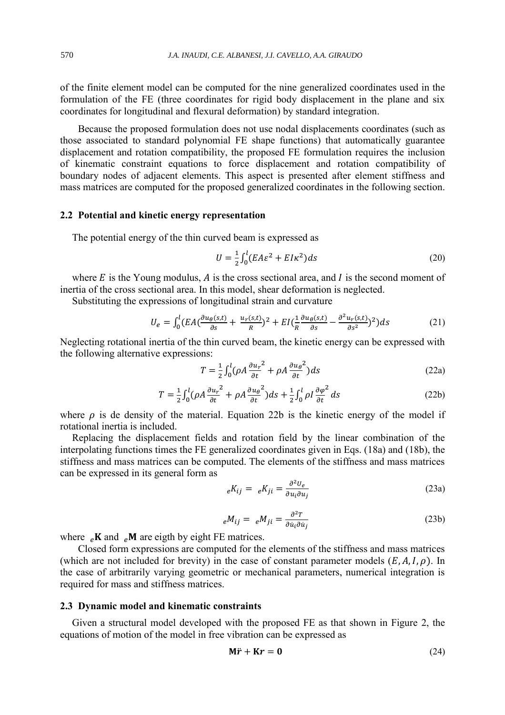of the finite element model can be computed for the nine generalized coordinates used in the formulation of the FE (three coordinates for rigid body displacement in the plane and six coordinates for longitudinal and flexural deformation) by standard integration.

Because the proposed formulation does not use nodal displacements coordinates (such as those associated to standard polynomial FE shape functions) that automatically guarantee displacement and rotation compatibility, the proposed FE formulation requires the inclusion of kinematic constraint equations to force displacement and rotation compatibility of boundary nodes of adjacent elements. This aspect is presented after element stiffness and mass matrices are computed for the proposed generalized coordinates in the following section.

# **2.2 Potential and kinetic energy representation**

The potential energy of the thin curved beam is expressed as

$$
U = \frac{1}{2} \int_0^l (EA\varepsilon^2 + El\kappa^2) ds \tag{20}
$$

where  $E$  is the Young modulus,  $A$  is the cross sectional area, and  $I$  is the second moment of inertia of the cross sectional area. In this model, shear deformation is neglected.

Substituting the expressions of longitudinal strain and curvature

$$
U_e = \int_0^l (EA(\frac{\partial u_\theta(s,t)}{\partial s} + \frac{u_r(s,t)}{R})^2 + EI(\frac{1}{R}\frac{\partial u_\theta(s,t)}{\partial s} - \frac{\partial^2 u_r(s,t)}{\partial s^2})^2) ds \tag{21}
$$

Neglecting rotational inertia of the thin curved beam, the kinetic energy can be expressed with the following alternative expressions:

$$
T = \frac{1}{2} \int_0^l (\rho A \frac{\partial u_r}{\partial t}^2 + \rho A \frac{\partial u_\theta}{\partial t}^2) ds
$$
 (22a)

$$
T = \frac{1}{2} \int_0^l (\rho A \frac{\partial u_r}{\partial t}^2 + \rho A \frac{\partial u_\theta}{\partial t}^2) ds + \frac{1}{2} \int_0^l \rho I \frac{\partial \varphi^2}{\partial t} ds \tag{22b}
$$

where  $\rho$  is de density of the material. Equation 22b is the kinetic energy of the model if rotational inertia is included.

Replacing the displacement fields and rotation field by the linear combination of the interpolating functions times the FE generalized coordinates given in Eqs. (18a) and (18b), the stiffness and mass matrices can be computed. The elements of the stiffness and mass matrices can be expressed in its general form as

$$
{}_{e}K_{ij} = {}_{e}K_{ji} = \frac{\partial^2 U_e}{\partial u_i \partial u_j} \tag{23a}
$$

$$
eM_{ij} = eM_{ji} = \frac{\partial^2 T}{\partial \dot{u}_i \partial \dot{u}_j}
$$
 (23b)

where  $_e$ **K** and  $_e$ **M** are eigth by eight FE matrices.

Closed form expressions are computed for the elements of the stiffness and mass matrices (which are not included for brevity) in the case of constant parameter models  $(E, A, I, \rho)$ . In the case of arbitrarily varying geometric or mechanical parameters, numerical integration is required for mass and stiffness matrices.

#### **2.3 Dynamic model and kinematic constraints**

Given a structural model developed with the proposed FE as that shown in Figure 2, the equations of motion of the model in free vibration can be expressed as

$$
\mathbf{M}\ddot{\mathbf{r}} + \mathbf{K}\mathbf{r} = \mathbf{0} \tag{24}
$$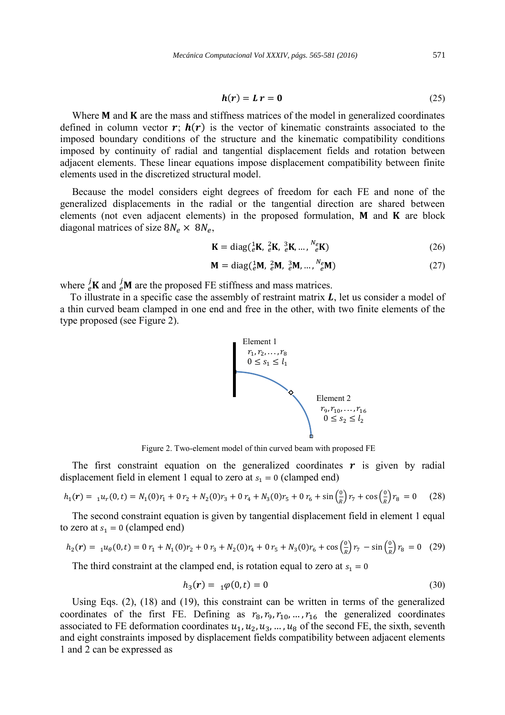$$
h(r) = L r = 0 \tag{25}
$$

Where  $M$  and  $K$  are the mass and stiffness matrices of the model in generalized coordinates defined in column vector  $r$ ;  $h(r)$  is the vector of kinematic constraints associated to the imposed boundary conditions of the structure and the kinematic compatibility conditions imposed by continuity of radial and tangential displacement fields and rotation between adjacent elements. These linear equations impose displacement compatibility between finite elements used in the discretized structural model.

Because the model considers eight degrees of freedom for each FE and none of the generalized displacements in the radial or the tangential direction are shared between elements (not even adjacent elements) in the proposed formulation,  $M$  and  $K$  are block diagonal matrices of size  $8N_e \times 8N_e$ ,

$$
\mathbf{K} = \text{diag}(\frac{1}{e}\mathbf{K}, \frac{2}{e}\mathbf{K}, \frac{3}{e}\mathbf{K}, \dots, \frac{N_e}{e}\mathbf{K})
$$
(26)

$$
\mathbf{M} = \text{diag}(\,_{e}^{1}\mathbf{M},\,_{e}^{2}\mathbf{M},\,_{e}^{3}\mathbf{M},\,\ldots,\,\,_{e}^{N_{e}}\mathbf{M})
$$
\n
$$
(27)
$$

where  $\frac{1}{e}$ **K** and  $\frac{1}{e}$ **M** are the proposed FE stiffness and mass matrices.

To illustrate in a specific case the assembly of restraint matrix  $\bf{L}$ , let us consider a model of a thin curved beam clamped in one end and free in the other, with two finite elements of the type proposed (see Figure 2).



Figure 2. Two-element model of thin curved beam with proposed FE

The first constraint equation on the generalized coordinates  $\boldsymbol{r}$  is given by radial displacement field in element 1 equal to zero at  $s_1 = 0$  (clamped end)

$$
h_1(r) = {}_{1}u_r(0,t) = N_1(0)r_1 + 0 r_2 + N_2(0)r_3 + 0 r_4 + N_3(0)r_5 + 0 r_6 + \sin\left(\frac{\theta}{R}\right)r_7 + \cos\left(\frac{\theta}{R}\right)r_8 = 0 \quad (28)
$$

The second constraint equation is given by tangential displacement field in element 1 equal to zero at  $s_1 = 0$  (clamped end)

$$
h_2(r) = {}_1u_\theta(0,t) = 0 r_1 + N_1(0)r_2 + 0 r_3 + N_2(0)r_4 + 0 r_5 + N_3(0)r_6 + \cos\left(\frac{0}{R}\right)r_7 - \sin\left(\frac{0}{R}\right)r_8 = 0 \quad (29)
$$

The third constraint at the clamped end, is rotation equal to zero at  $s_1 = 0$ 

$$
h_3(r) = \ _{1}\varphi(0,t) = 0 \tag{30}
$$

Using Eqs. (2), (18) and (19), this constraint can be written in terms of the generalized coordinates of the first FE. Defining as  $r_8, r_9, r_{10}, ..., r_{16}$  the generalized coordinates associated to FE deformation coordinates  $u_1, u_2, u_3, \dots, u_8$  of the second FE, the sixth, seventh and eight constraints imposed by displacement fields compatibility between adjacent elements 1 and 2 can be expressed as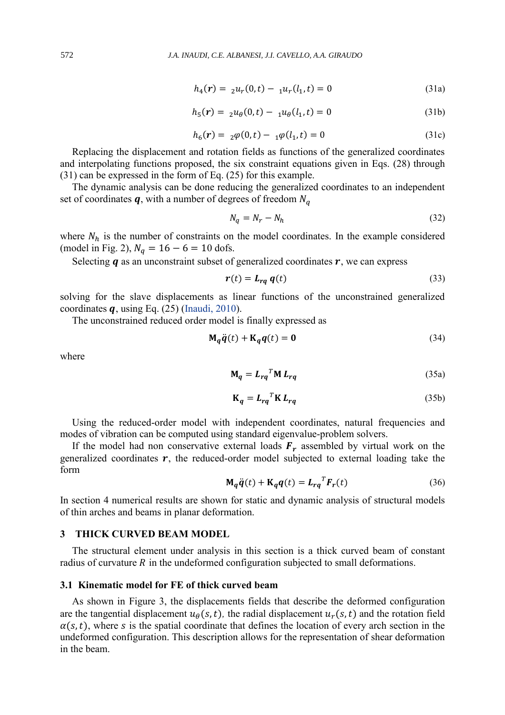$$
h_4(r) = \, _2u_r(0,t) - \, _1u_r(l_1,t) = 0 \tag{31a}
$$

$$
h_5(r) = 2u_\theta(0, t) - 1u_\theta(l_1, t) = 0 \tag{31b}
$$

$$
h_6(\mathbf{r}) = \, _2\varphi(0, t) - \, _1\varphi(l_1, t) = 0 \tag{31c}
$$

Replacing the displacement and rotation fields as functions of the generalized coordinates and interpolating functions proposed, the six constraint equations given in Eqs. (28) through (31) can be expressed in the form of Eq. (25) for this example.

The dynamic analysis can be done reducing the generalized coordinates to an independent set of coordinates  $q$ , with a number of degrees of freedom  $N_q$ 

$$
N_q = N_r - N_h \tag{32}
$$

where  $N_h$  is the number of constraints on the model coordinates. In the example considered (model in Fig. 2),  $N_a = 16 - 6 = 10$  dofs.

Selecting  $q$  as an unconstraint subset of generalized coordinates  $r$ , we can express

$$
r(t) = L_{rq} q(t) \tag{33}
$$

solving for the slave displacements as linear functions of the unconstrained generalized coordinates  $q$ , using Eq. (25) (Inaudi, 2010).

The unconstrained reduced order model is finally expressed as

$$
\mathbf{M}_q \ddot{\mathbf{q}}(t) + \mathbf{K}_q \mathbf{q}(t) = \mathbf{0}
$$
 (34)

where

$$
\mathbf{M}_q = L_{rq}^T \mathbf{M} L_{rq} \tag{35a}
$$

$$
\mathbf{K}_q = \mathbf{L}_{rq}^T \mathbf{K} \, \mathbf{L}_{rq} \tag{35b}
$$

Using the reduced-order model with independent coordinates, natural frequencies and modes of vibration can be computed using standard eigenvalue-problem solvers.

If the model had non conservative external loads  $F_r$  assembled by virtual work on the generalized coordinates  $r$ , the reduced-order model subjected to external loading take the form

$$
\mathbf{M}_q \ddot{\mathbf{q}}(t) + \mathbf{K}_q \mathbf{q}(t) = L_{rq}^T \mathbf{F}_r(t)
$$
\n(36)

In section 4 numerical results are shown for static and dynamic analysis of structural models of thin arches and beams in planar deformation.

# **3 THICK CURVED BEAM MODEL**

The structural element under analysis in this section is a thick curved beam of constant radius of curvature  $R$  in the undeformed configuration subjected to small deformations.

#### **3.1 Kinematic model for FE of thick curved beam**

As shown in Figure 3, the displacements fields that describe the deformed configuration are the tangential displacement  $u_{\theta}(s,t)$ , the radial displacement  $u_{r}(s,t)$  and the rotation field  $\alpha(s,t)$ , where s is the spatial coordinate that defines the location of every arch section in the undeformed configuration. This description allows for the representation of shear deformation in the beam.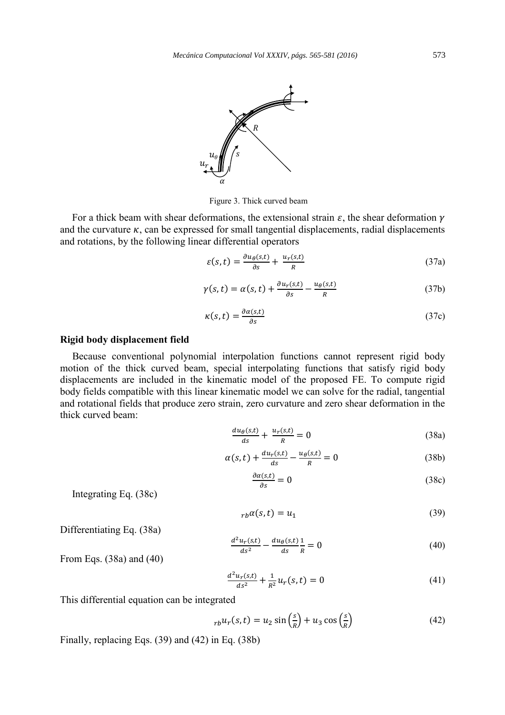

Figure 3. Thick curved beam

For a thick beam with shear deformations, the extensional strain  $\varepsilon$ , the shear deformation  $\gamma$ and the curvature  $\kappa$ , can be expressed for small tangential displacements, radial displacements and rotations, by the following linear differential operators

$$
\varepsilon(s,t) = \frac{\partial u_{\theta}(s,t)}{\partial s} + \frac{u_r(s,t)}{R}
$$
\n(37a)

$$
\gamma(s,t) = \alpha(s,t) + \frac{\partial u_r(s,t)}{\partial s} - \frac{u_\theta(s,t)}{R}
$$
\n(37b)

$$
\kappa(s,t) = \frac{\partial \alpha(s,t)}{\partial s} \tag{37c}
$$

#### **Rigid body displacement field**

Because conventional polynomial interpolation functions cannot represent rigid body motion of the thick curved beam, special interpolating functions that satisfy rigid body displacements are included in the kinematic model of the proposed FE. To compute rigid body fields compatible with this linear kinematic model we can solve for the radial, tangential and rotational fields that produce zero strain, zero curvature and zero shear deformation in the thick curved beam:

$$
\frac{du_{\theta}(s,t)}{ds} + \frac{u_r(s,t)}{R} = 0
$$
\n(38a)

$$
\alpha(s,t) + \frac{du_r(s,t)}{ds} - \frac{u_\theta(s,t)}{R} = 0 \tag{38b}
$$

$$
\frac{\partial \alpha(s,t)}{\partial s} = 0 \tag{38c}
$$

Integrating Eq. (38c)

$$
r_b \alpha(s, t) = u_1 \tag{39}
$$

Differentiating Eq. (38a)

$$
\frac{d^2u_r(s,t)}{ds^2} - \frac{du_\theta(s,t)}{ds}\frac{1}{R} = 0\tag{40}
$$

From Eqs. (38a) and (40)

$$
\frac{d^2u_r(s,t)}{ds^2} + \frac{1}{R^2}u_r(s,t) = 0
$$
\n(41)

This differential equation can be integrated

$$
_{rb}u_r(s,t) = u_2 \sin\left(\frac{s}{R}\right) + u_3 \cos\left(\frac{s}{R}\right) \tag{42}
$$

Finally, replacing Eqs. (39) and (42) in Eq. (38b)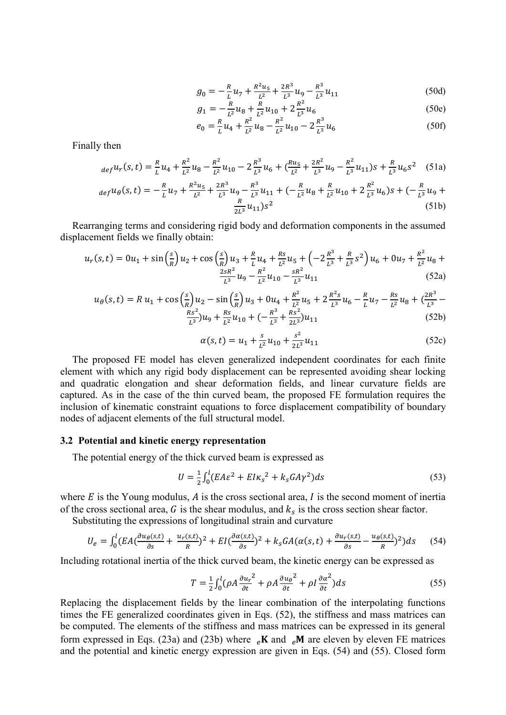$$
g_0 = -\frac{R}{L}u_7 + \frac{R^2u_5}{L^2} + \frac{2R^3}{L^3}u_9 - \frac{R^3}{L^3}u_{11}
$$
 (50d)

$$
g_1 = -\frac{R}{L^2} u_8 + \frac{R}{L^2} u_{10} + 2\frac{R^2}{L^3} u_6
$$
\n
$$
B^2
$$
\n(50e)

$$
e_0 = \frac{R}{L} u_4 + \frac{R^2}{L^2} u_8 - \frac{R^2}{L^2} u_{10} - 2 \frac{R^3}{L^3} u_6 \tag{50f}
$$

Finally then

$$
_{def}u_r(s,t) = \frac{R}{L}u_4 + \frac{R^2}{L^2}u_8 - \frac{R^2}{L^2}u_{10} - 2\frac{R^3}{L^3}u_6 + (\frac{Ru_5}{L^2} + \frac{2R^2}{L^3}u_9 - \frac{R^2}{L^3}u_{11})s + \frac{R}{L^3}u_6s^2
$$
 (51a)

$$
def u_{\theta}(s,t) = -\frac{R}{L}u_7 + \frac{R^2u_5}{L^2} + \frac{2R^3}{L^3}u_9 - \frac{R^3}{L^3}u_{11} + \left(-\frac{R}{L^2}u_8 + \frac{R}{L^2}u_{10} + 2\frac{R^2}{L^3}u_6\right)s + \left(-\frac{R}{L^3}u_9 + \frac{R}{L^2}u_{11}\right)s^2\tag{51b}
$$

Rearranging terms and considering rigid body and deformation components in the assumed displacement fields we finally obtain:

$$
u_r(s,t) = 0u_1 + \sin\left(\frac{s}{R}\right)u_2 + \cos\left(\frac{s}{R}\right)u_3 + \frac{R}{L}u_4 + \frac{Rs}{L^2}u_5 + \left(-2\frac{R^3}{L^3} + \frac{R}{L^3}s^2\right)u_6 + 0u_7 + \frac{R^2}{L^2}u_8 + \frac{2sR^2}{L^3}u_9 - \frac{R^2}{L^2}u_{10} - \frac{sR^2}{L^3}u_{11}
$$
\n(52a)

$$
u_{\theta}(s,t) = R u_1 + \cos\left(\frac{s}{R}\right)u_2 - \sin\left(\frac{s}{R}\right)u_3 + 0u_4 + \frac{R^2}{L^2}u_5 + 2\frac{R^2s}{L^3}u_6 - \frac{R}{L}u_7 - \frac{Rs}{L^2}u_8 + \left(\frac{2R^3}{L^3} - \frac{Rs^2}{L^3}\right)u_9 + \frac{Rs}{L^2}u_{10} + \left(-\frac{R^3}{L^3} + \frac{Rs^2}{2L^3}\right)u_{11}
$$
\n(52b)

$$
\alpha(s,t) = u_1 + \frac{s}{L^2}u_{10} + \frac{s^2}{2L^3}u_{11}
$$
\n(52c)

The proposed FE model has eleven generalized independent coordinates for each finite element with which any rigid body displacement can be represented avoiding shear locking and quadratic elongation and shear deformation fields, and linear curvature fields are captured. As in the case of the thin curved beam, the proposed FE formulation requires the inclusion of kinematic constraint equations to force displacement compatibility of boundary nodes of adjacent elements of the full structural model.

#### **3.2 Potential and kinetic energy representation**

The potential energy of the thick curved beam is expressed as

$$
U = \frac{1}{2} \int_0^l (E A \varepsilon^2 + E I \kappa_s^2 + k_s G A \gamma^2) ds \tag{53}
$$

where  $E$  is the Young modulus,  $\vec{A}$  is the cross sectional area,  $\vec{I}$  is the second moment of inertia of the cross sectional area,  $G$  is the shear modulus, and  $k<sub>s</sub>$  is the cross section shear factor.

Substituting the expressions of longitudinal strain and curvature

$$
U_e = \int_0^l (EA(\frac{\partial u_\theta(s,t)}{\partial s} + \frac{u_r(s,t)}{R})^2 + EI(\frac{\partial \alpha(s,t)}{\partial s})^2 + k_s GA(\alpha(s,t) + \frac{\partial u_r(s,t)}{\partial s} - \frac{u_\theta(s,t)}{R})^2) ds \tag{54}
$$

Including rotational inertia of the thick curved beam, the kinetic energy can be expressed as

$$
T = \frac{1}{2} \int_0^l (\rho A \frac{\partial u_r}{\partial t}^2 + \rho A \frac{\partial u_\theta}{\partial t}^2 + \rho I \frac{\partial \alpha^2}{\partial t}) ds
$$
 (55)

Replacing the displacement fields by the linear combination of the interpolating functions times the FE generalized coordinates given in Eqs. (52), the stiffness and mass matrices can be computed. The elements of the stiffness and mass matrices can be expressed in its general form expressed in Eqs. (23a) and (23b) where  $_ek$ **X** and  $_eh$ **M** are eleven by eleven FE matrices and the potential and kinetic energy expression are given in Eqs. (54) and (55). Closed form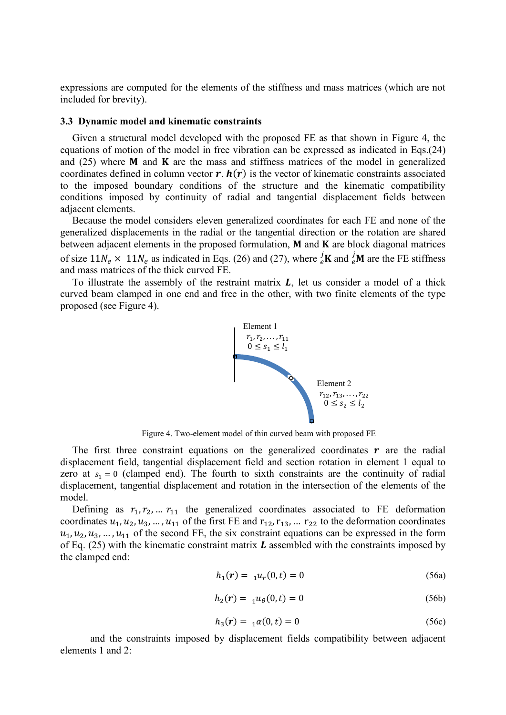expressions are computed for the elements of the stiffness and mass matrices (which are not included for brevity).

#### **3.3 Dynamic model and kinematic constraints**

Given a structural model developed with the proposed FE as that shown in Figure 4, the equations of motion of the model in free vibration can be expressed as indicated in Eqs.(24) and  $(25)$  where **M** and **K** are the mass and stiffness matrices of the model in generalized coordinates defined in column vector  $\mathbf{r}$ .  $\mathbf{h}(\mathbf{r})$  is the vector of kinematic constraints associated to the imposed boundary conditions of the structure and the kinematic compatibility conditions imposed by continuity of radial and tangential displacement fields between adjacent elements.

Because the model considers eleven generalized coordinates for each FE and none of the generalized displacements in the radial or the tangential direction or the rotation are shared between adjacent elements in the proposed formulation,  $M$  and  $K$  are block diagonal matrices of size  $11N_e \times 11N_e$  as indicated in Eqs. (26) and (27), where  $\frac{j}{e}$ **K** and  $\frac{j}{e}$ **M** are the FE stiffness and mass matrices of the thick curved FE.

To illustrate the assembly of the restraint matrix  $L$ , let us consider a model of a thick curved beam clamped in one end and free in the other, with two finite elements of the type proposed (see Figure 4).



Figure 4. Two-element model of thin curved beam with proposed FE

The first three constraint equations on the generalized coordinates  $\boldsymbol{r}$  are the radial displacement field, tangential displacement field and section rotation in element 1 equal to zero at  $s_1 = 0$  (clamped end). The fourth to sixth constraints are the continuity of radial displacement, tangential displacement and rotation in the intersection of the elements of the model.

Defining as  $r_1, r_2, \ldots r_{11}$  the generalized coordinates associated to FE deformation coordinates  $u_1, u_2, u_3, \dots, u_{11}$  of the first FE and  $r_{12}, r_{13}, \dots r_{22}$  to the deformation coordinates  $u_1, u_2, u_3, \ldots, u_{11}$  of the second FE, the six constraint equations can be expressed in the form of Eq.  $(25)$  with the kinematic constraint matrix  $\boldsymbol{L}$  assembled with the constraints imposed by the clamped end:

$$
h_1(r) = \, _1u_r(0,t) = 0 \tag{56a}
$$

$$
h_2(r) = \, _1u_\theta(0, t) = 0 \tag{56b}
$$

$$
h_3(r) = \ _{1} \alpha(0, t) = 0 \tag{56c}
$$

and the constraints imposed by displacement fields compatibility between adjacent elements 1 and 2: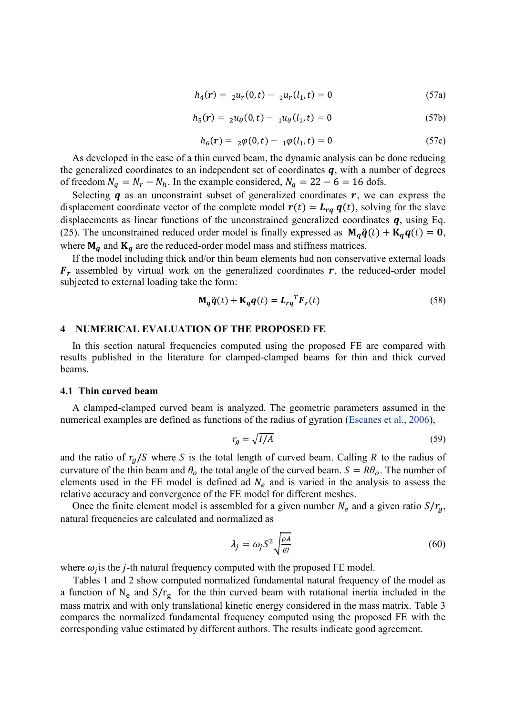$$
h_4(r) = 2u_r(0, t) - 1u_r(l_1, t) = 0 \tag{57a}
$$

$$
h_5(r) = \, _2u_\theta(0, t) - \, _1u_\theta(l_1, t) = 0 \tag{57b}
$$

$$
h_6(r) = \, _2\varphi(0,t) - \, _1\varphi(l_1,t) = 0 \tag{57c}
$$

As developed in the case of a thin curved beam, the dynamic analysis can be done reducing the generalized coordinates to an independent set of coordinates  $q$ , with a number of degrees of freedom  $N_a = N_r - N_h$ . In the example considered,  $N_a = 22 - 6 = 16$  dofs.

Selecting  $q$  as an unconstraint subset of generalized coordinates  $r$ , we can express the displacement coordinate vector of the complete model  $r(t) = L_{rq} q(t)$ , solving for the slave displacements as linear functions of the unconstrained generalized coordinates  $q$ , using Eq. (25). The unconstrained reduced order model is finally expressed as  $\mathbf{M}_a \ddot{\mathbf{q}}(t) + \mathbf{K}_a \mathbf{q}(t) = \mathbf{0}$ , where  $\mathbf{M}_q$  and  $\mathbf{K}_q$  are the reduced-order model mass and stiffness matrices.

If the model including thick and/or thin beam elements had non conservative external loads  $F_r$  assembled by virtual work on the generalized coordinates  $r$ , the reduced-order model subjected to external loading take the form:

$$
\mathbf{M}_q \ddot{\mathbf{q}}(t) + \mathbf{K}_q \mathbf{q}(t) = \mathbf{L}_{rq}^T \mathbf{F}_r(t)
$$
\n(58)

#### **4 NUMERICAL EVALUATION OF THE PROPOSED FE**

In this section natural frequencies computed using the proposed FE are compared with results published in the literature for clamped-clamped beams for thin and thick curved beams.

#### **4.1 Thin curved beam**

A clamped-clamped curved beam is analyzed. The geometric parameters assumed in the numerical examples are defined as functions of the radius of gyration (Escanes et al., 2006),

$$
r_g = \sqrt{I/A} \tag{59}
$$

and the ratio of  $r_a/S$  where S is the total length of curved beam. Calling R to the radius of curvature of the thin beam and  $\theta_0$  the total angle of the curved beam.  $S = R\theta_0$ . The number of elements used in the FE model is defined ad  $N_e$  and is varied in the analysis to assess the relative accuracy and convergence of the FE model for different meshes.

Once the finite element model is assembled for a given number  $N_e$  and a given ratio  $S/r_a$ , natural frequencies are calculated and normalized as

$$
\lambda_j = \omega_j S^2 \sqrt{\frac{\rho A}{EI}} \tag{60}
$$

where  $\omega_j$  is the *j*-th natural frequency computed with the proposed FE model.

 Tables 1 and 2 show computed normalized fundamental natural frequency of the model as a function of  $N_e$  and  $S/r_g$  for the thin curved beam with rotational inertia included in the mass matrix and with only translational kinetic energy considered in the mass matrix. Table 3 compares the normalized fundamental frequency computed using the proposed FE with the corresponding value estimated by different authors. The results indicate good agreement.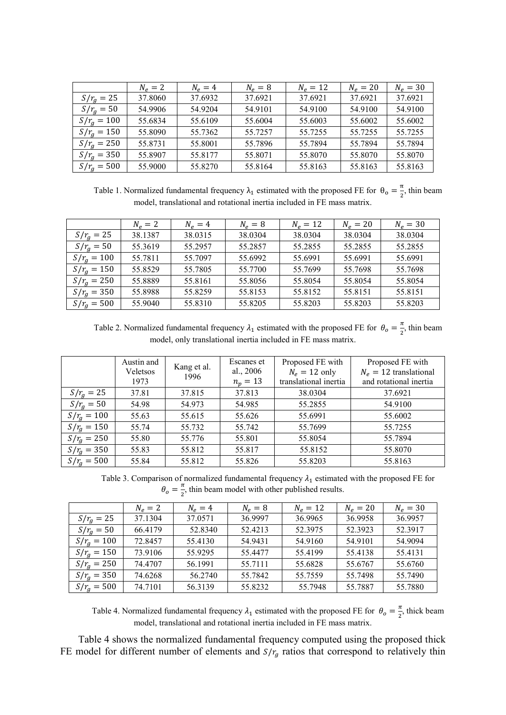|               | $N_e = 2$ | $N_e = 4$ | $N_e = 8$ | $N_e = 12$ | $N_e = 20$ | $N_e = 30$ |
|---------------|-----------|-----------|-----------|------------|------------|------------|
| $S/r_g = 25$  | 37.8060   | 37.6932   | 37.6921   | 37.6921    | 37.6921    | 37.6921    |
| $S/r_a = 50$  | 54.9906   | 54.9204   | 54.9101   | 54.9100    | 54.9100    | 54.9100    |
| $S/r_a = 100$ | 55.6834   | 55.6109   | 55.6004   | 55.6003    | 55.6002    | 55.6002    |
| $S/r_a = 150$ | 55.8090   | 55.7362   | 55.7257   | 55.7255    | 55.7255    | 55.7255    |
| $S/r_a = 250$ | 55.8731   | 55.8001   | 55.7896   | 55.7894    | 55.7894    | 55.7894    |
| $S/r_g = 350$ | 55.8907   | 55.8177   | 55.8071   | 55.8070    | 55.8070    | 55.8070    |
| $S/r_a = 500$ | 55.9000   | 55.8270   | 55.8164   | 55.8163    | 55.8163    | 55.8163    |

Table 1. Normalized fundamental frequency  $\lambda_1$  estimated with the proposed FE for  $\theta_0 = \frac{\pi}{2}$  $\frac{\pi}{2}$ , thin beam model, translational and rotational inertia included in FE mass matrix.

|                 | $N_e = 2$ | $N_e = 4$ | $N_e = 8$ | $N_e = 12$ | $N_e = 20$ | $N_e = 30$ |
|-----------------|-----------|-----------|-----------|------------|------------|------------|
| $S/r_g = 25$    | 38.1387   | 38.0315   | 38.0304   | 38.0304    | 38.0304    | 38.0304    |
| $S/r_{q} = 50$  | 55.3619   | 55.2957   | 55.2857   | 55.2855    | 55.2855    | 55.2855    |
| $S/r_a = 100$   | 55.7811   | 55.7097   | 55.6992   | 55.6991    | 55.6991    | 55.6991    |
| $S/r_a = 150$   | 55.8529   | 55.7805   | 55.7700   | 55.7699    | 55.7698    | 55.7698    |
| $S/r_a = 250$   | 55.8889   | 55.8161   | 55.8056   | 55.8054    | 55.8054    | 55.8054    |
| $S/r_{q} = 350$ | 55.8988   | 55.8259   | 55.8153   | 55.8152    | 55.8151    | 55.8151    |
| $S/r_a = 500$   | 55.9040   | 55.8310   | 55.8205   | 55.8203    | 55.8203    | 55.8203    |

Table 2. Normalized fundamental frequency  $\lambda_1$  estimated with the proposed FE for  $\theta_0 = \frac{\pi}{2}$  $\frac{\pi}{2}$ , thin beam model, only translational inertia included in FE mass matrix.

| 37.813<br>$S/r_{q} = 25$<br>38.0304<br>37.6921<br>37.81<br>37.815<br>$S/r_a = 50$<br>54.973<br>54.98<br>54.985<br>55.2855<br>54.9100<br>$S/r_a = 100$<br>55.626<br>55.6002<br>55.63<br>55.615<br>55.6991<br>$S/r_a = 150$<br>55.732<br>55.74<br>55.742<br>55.7699<br>55.7255<br>$S/r_a = 250$<br>55.7894<br>55.80<br>55.776<br>55.801<br>55.8054<br>$S/r_{q} = 350$<br>55.83<br>55.812<br>55.817<br>55.8152<br>55.8070 | Austin and<br>Veletsos<br>1973 | Kang et al.<br>1996 | Escanes et<br>al., 2006<br>$n_p = 13$ | Proposed FE with<br>$N_e = 12$ only<br>translational inertia | Proposed FE with<br>$N_e = 12$ translational<br>and rotational inertia |
|------------------------------------------------------------------------------------------------------------------------------------------------------------------------------------------------------------------------------------------------------------------------------------------------------------------------------------------------------------------------------------------------------------------------|--------------------------------|---------------------|---------------------------------------|--------------------------------------------------------------|------------------------------------------------------------------------|
|                                                                                                                                                                                                                                                                                                                                                                                                                        |                                |                     |                                       |                                                              |                                                                        |
|                                                                                                                                                                                                                                                                                                                                                                                                                        |                                |                     |                                       |                                                              |                                                                        |
|                                                                                                                                                                                                                                                                                                                                                                                                                        |                                |                     |                                       |                                                              |                                                                        |
|                                                                                                                                                                                                                                                                                                                                                                                                                        |                                |                     |                                       |                                                              |                                                                        |
|                                                                                                                                                                                                                                                                                                                                                                                                                        |                                |                     |                                       |                                                              |                                                                        |
|                                                                                                                                                                                                                                                                                                                                                                                                                        |                                |                     |                                       |                                                              |                                                                        |
| $S/r_a = 500$<br>55.812<br>55.826<br>55.84<br>55.8203<br>55.8163                                                                                                                                                                                                                                                                                                                                                       |                                |                     |                                       |                                                              |                                                                        |

Table 3. Comparison of normalized fundamental frequency  $\lambda_1$  estimated with the proposed FE for  $\theta_o=\frac{\pi}{2}$  $\frac{\pi}{2}$ , thin beam model with other published results.

|                 | $N_e = 2$ | $N_e = 4$ | $N_e = 8$ | $N_e = 12$ | $N_e = 20$ | $N_e = 30$ |
|-----------------|-----------|-----------|-----------|------------|------------|------------|
| $S/r_a = 25$    | 37.1304   | 37.0571   | 36.9997   | 36.9965    | 36.9958    | 36.9957    |
| $S/r_a = 50$    | 66.4179   | 52.8340   | 52.4213   | 52.3975    | 52.3923    | 52.3917    |
| $S/r_a = 100$   | 72.8457   | 55.4130   | 54.9431   | 54.9160    | 54.9101    | 54.9094    |
| $S/r_a = 150$   | 73.9106   | 55.9295   | 55.4477   | 55.4199    | 55.4138    | 55.4131    |
| $S/r_g = 250$   | 74.4707   | 56.1991   | 55.7111   | 55.6828    | 55.6767    | 55.6760    |
| $S/r_{q} = 350$ | 74.6268   | 56.2740   | 55.7842   | 55.7559    | 55.7498    | 55.7490    |
| $S/r_{q} = 500$ | 74.7101   | 56.3139   | 55.8232   | 55.7948    | 55.7887    | 55.7880    |

Table 4. Normalized fundamental frequency  $\lambda_1$  estimated with the proposed FE for  $\theta_0 = \frac{\pi}{2}$  $\frac{\pi}{2}$ , thick beam model, translational and rotational inertia included in FE mass matrix.

Table 4 shows the normalized fundamental frequency computed using the proposed thick FE model for different number of elements and  $S/r<sub>g</sub>$  ratios that correspond to relatively thin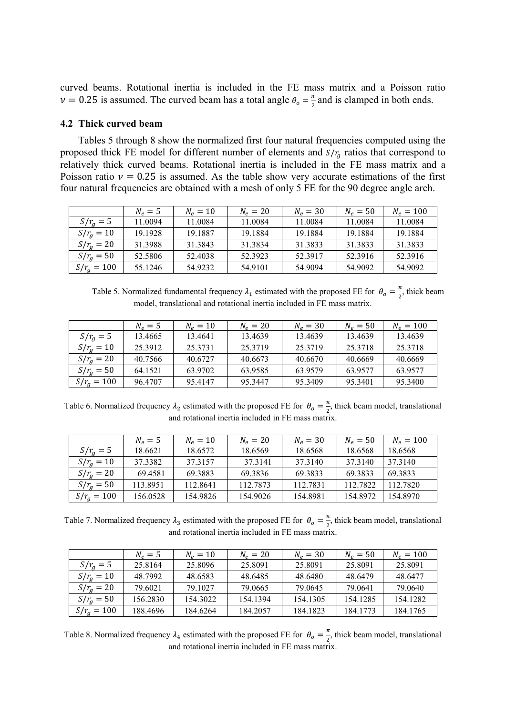curved beams. Rotational inertia is included in the FE mass matrix and a Poisson ratio  $\nu = 0.25$  is assumed. The curved beam has a total angle  $\theta_o = \frac{\pi}{2}$  $\frac{\pi}{2}$  and is clamped in both ends.

#### **4.2 Thick curved beam**

Tables 5 through 8 show the normalized first four natural frequencies computed using the proposed thick FE model for different number of elements and  $S/r<sub>g</sub>$  ratios that correspond to relatively thick curved beams. Rotational inertia is included in the FE mass matrix and a Poisson ratio  $v = 0.25$  is assumed. As the table show very accurate estimations of the first four natural frequencies are obtained with a mesh of only 5 FE for the 90 degree angle arch.

|                | $N_e=5$ | $N_e = 10$ | $N_e = 20$ | $N_e = 30$ | $N_e = 50$ | $N_e = 100$ |
|----------------|---------|------------|------------|------------|------------|-------------|
| $S/r_a = 5$    | 11.0094 | 11.0084    | 11.0084    | 11.0084    | 11.0084    | 11.0084     |
| $S/r_a = 10$   | 19.1928 | 19.1887    | 19.1884    | 19.1884    | 19.1884    | 19.1884     |
| $S/r_{q} = 20$ | 31.3988 | 31.3843    | 31.3834    | 31.3833    | 31.3833    | 31.3833     |
| $S/r_{q} = 50$ | 52.5806 | 52.4038    | 52.3923    | 52.3917    | 52.3916    | 52.3916     |
| $S/r_a = 100$  | 55.1246 | 54.9232    | 54.9101    | 54.9094    | 54.9092    | 54.9092     |

Table 5. Normalized fundamental frequency  $\lambda_1$  estimated with the proposed FE for  $\theta_0 = \frac{\pi}{2}$  $\frac{\pi}{2}$ , thick beam model, translational and rotational inertia included in FE mass matrix.

|                 | $N_e = 5$ | $N_e = 10$ | $N_e = 20$ | $N_e = 30$ | $N_e = 50$ | $N_e = 100$ |
|-----------------|-----------|------------|------------|------------|------------|-------------|
| $S/rg = 5$      | 13.4665   | 13.4641    | 13.4639    | 13.4639    | 13.4639    | 13.4639     |
| $S/r_a = 10$    | 25.3912   | 25.3731    | 25.3719    | 25 37 19   | 25.3718    | 25.3718     |
| $S/r_a = 20$    | 40.7566   | 40.6727    | 40.6673    | 40.6670    | 40.6669    | 40.6669     |
| $S/r_{q} = 50$  | 64.1521   | 63.9702    | 63.9585    | 63.9579    | 63.9577    | 63.9577     |
| $S/r_{q} = 100$ | 96.4707   | 95.4147    | 95.3447    | 95.3409    | 95.3401    | 95.3400     |

Table 6. Normalized frequency  $\lambda_2$  estimated with the proposed FE for  $\theta_0 = \frac{\pi}{2}$  $\frac{\pi}{2}$ , thick beam model, translational and rotational inertia included in FE mass matrix.

|                | $N_e = 5$ | $N_e = 10$ | $N_e = 20$ | $N_e = 30$ | $N_e = 50$ | $N_e = 100$ |
|----------------|-----------|------------|------------|------------|------------|-------------|
| $S/rq = 5$     | 18.6621   | 18.6572    | 18.6569    | 18.6568    | 18.6568    | 18.6568     |
| $S/r_a = 10$   | 37.3382   | 37.3157    | 37.3141    | 37.3140    | 37.3140    | 37.3140     |
| $S/r_{q} = 20$ | 69.4581   | 69.3883    | 69.3836    | 69.3833    | 69.3833    | 69.3833     |
| $S/r_a = 50$   | 113.8951  | 112.8641   | 112.7873   | 112.7831   | 112.7822   | 112.7820    |
| $S/r_q = 100$  | 156.0528  | 154.9826   | 154.9026   | 154.8981   | 154.8972   | 154.8970    |

Table 7. Normalized frequency  $\lambda_3$  estimated with the proposed FE for  $\theta_0 = \frac{\pi}{2}$  $\frac{\pi}{2}$ , thick beam model, translational and rotational inertia included in FE mass matrix.

|                | $N_e = 5$ | $N_e = 10$ | $N_e = 20$ | $N_e = 30$ | $N_e = 50$ | $N_e = 100$ |
|----------------|-----------|------------|------------|------------|------------|-------------|
| $S/r_a = 5$    | 25.8164   | 25.8096    | 25.8091    | 25.8091    | 25.8091    | 25.8091     |
| $S/r_{q} = 10$ | 48.7992   | 48.6583    | 48.6485    | 48.6480    | 48.6479    | 48.6477     |
| $S/r_a = 20$   | 79.6021   | 79 1027    | 79.0665    | 79.0645    | 79.0641    | 79.0640     |
| $S/r_{q} = 50$ | 156.2830  | 154.3022   | 154.1394   | 154.1305   | 154.1285   | 154.1282    |
| $S/r_a = 100$  | 188.4696  | 184.6264   | 184.2057   | 184.1823   | 184.1773   | 184.1765    |

Table 8. Normalized frequency  $\lambda_4$  estimated with the proposed FE for  $\theta_0 = \frac{\pi}{2}$  $\frac{\pi}{2}$ , thick beam model, translational and rotational inertia included in FE mass matrix.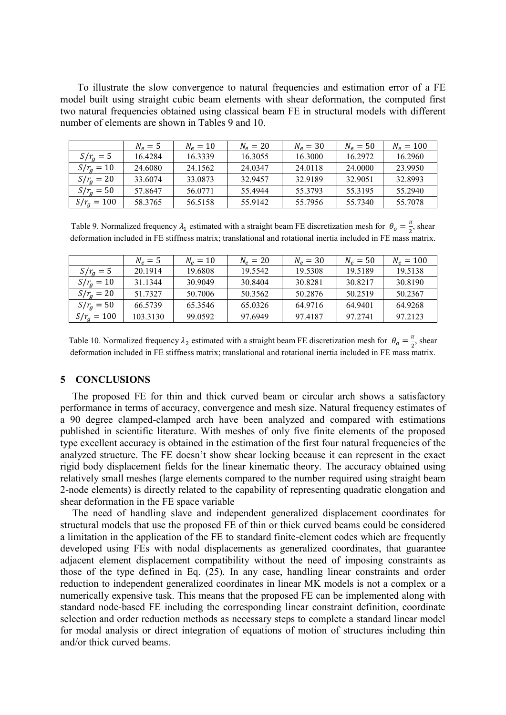To illustrate the slow convergence to natural frequencies and estimation error of a FE model built using straight cubic beam elements with shear deformation, the computed first two natural frequencies obtained using classical beam FE in structural models with different number of elements are shown in Tables 9 and 10.

|                | $N_e = 5$ | $N_e = 10$ | $N_e = 20$ | $N_e = 30$ | $N_e = 50$ | $N_e = 100$ |
|----------------|-----------|------------|------------|------------|------------|-------------|
| $S/rg = 5$     | 16.4284   | 16.3339    | 16.3055    | 16.3000    | 16.2972    | 16.2960     |
| $S/r_{q} = 10$ | 24.6080   | 24.1562    | 24.0347    | 24.0118    | 24.0000    | 23.9950     |
| $S/r_{q} = 20$ | 33.6074   | 33.0873    | 32.9457    | 32 9189    | 32 9051    | 32.8993     |
| $S/r_a = 50$   | 57.8647   | 56.0771    | 55.4944    | 55.3793    | 55.3195    | 55.2940     |
| $S/r_a = 100$  | 58.3765   | 56.5158    | 55.9142    | 55.7956    | 55.7340    | 55.7078     |

Table 9. Normalized frequency  $\lambda_1$  estimated with a straight beam FE discretization mesh for  $\theta_0 = \frac{\pi}{2}$ , shear 2 deformation included in FE stiffness matrix; translational and rotational inertia included in FE mass matrix.

|                | $N_e = 5$ | $N_e = 10$ | $N_e = 20$ | $N_e = 30$ | $N_e = 50$ | $N_e = 100$ |
|----------------|-----------|------------|------------|------------|------------|-------------|
| $S/r_a = 5$    | 20.1914   | 19.6808    | 19.5542    | 19.5308    | 19.5189    | 19.5138     |
| $S/r_a = 10$   | 31.1344   | 30.9049    | 30.8404    | 30.8281    | 30 8217    | 30.8190     |
| $S/r_a = 20$   | 51.7327   | 50.7006    | 50.3562    | 50.2876    | 50 2519    | 50.2367     |
| $S/r_{q} = 50$ | 66.5739   | 65.3546    | 65.0326    | 64.9716    | 64.9401    | 64.9268     |
| $S/r_a = 100$  | 103.3130  | 99.0592    | 97.6949    | 97.4187    | 97.2741    | 97.2123     |

Table 10. Normalized frequency  $\lambda_2$  estimated with a straight beam FE discretization mesh for  $\theta_0 = \frac{\pi}{2}$ , shear 2 deformation included in FE stiffness matrix; translational and rotational inertia included in FE mass matrix.

# **5 CONCLUSIONS**

The proposed FE for thin and thick curved beam or circular arch shows a satisfactory performance in terms of accuracy, convergence and mesh size. Natural frequency estimates of a 90 degree clamped-clamped arch have been analyzed and compared with estimations published in scientific literature. With meshes of only five finite elements of the proposed type excellent accuracy is obtained in the estimation of the first four natural frequencies of the analyzed structure. The FE doesn't show shear locking because it can represent in the exact rigid body displacement fields for the linear kinematic theory. The accuracy obtained using relatively small meshes (large elements compared to the number required using straight beam 2-node elements) is directly related to the capability of representing quadratic elongation and shear deformation in the FE space variable

The need of handling slave and independent generalized displacement coordinates for structural models that use the proposed FE of thin or thick curved beams could be considered a limitation in the application of the FE to standard finite-element codes which are frequently developed using FEs with nodal displacements as generalized coordinates, that guarantee adjacent element displacement compatibility without the need of imposing constraints as those of the type defined in Eq. (25). In any case, handling linear constraints and order reduction to independent generalized coordinates in linear MK models is not a complex or a numerically expensive task. This means that the proposed FE can be implemented along with standard node-based FE including the corresponding linear constraint definition, coordinate selection and order reduction methods as necessary steps to complete a standard linear model for modal analysis or direct integration of equations of motion of structures including thin and/or thick curved beams.